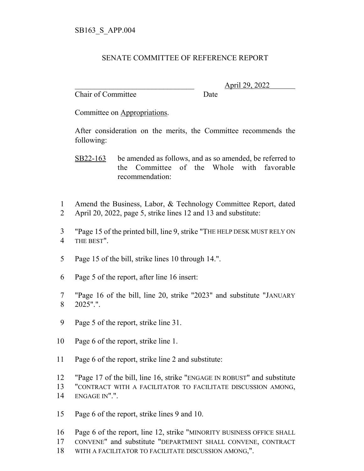## SENATE COMMITTEE OF REFERENCE REPORT

Chair of Committee Date

\_\_\_\_\_\_\_\_\_\_\_\_\_\_\_\_\_\_\_\_\_\_\_\_\_\_\_\_\_\_\_ April 29, 2022

Committee on Appropriations.

After consideration on the merits, the Committee recommends the following:

SB22-163 be amended as follows, and as so amended, be referred to the Committee of the Whole with favorable recommendation:

- Amend the Business, Labor, & Technology Committee Report, dated April 20, 2022, page 5, strike lines 12 and 13 and substitute:
- "Page 15 of the printed bill, line 9, strike "THE HELP DESK MUST RELY ON THE BEST".
- Page 15 of the bill, strike lines 10 through 14.".
- Page 5 of the report, after line 16 insert:
- "Page 16 of the bill, line 20, strike "2023" and substitute "JANUARY 2025".".
- Page 5 of the report, strike line 31.
- Page 6 of the report, strike line 1.
- Page 6 of the report, strike line 2 and substitute:
- "Page 17 of the bill, line 16, strike "ENGAGE IN ROBUST" and substitute
- "CONTRACT WITH A FACILITATOR TO FACILITATE DISCUSSION AMONG,
- ENGAGE IN".".
- Page 6 of the report, strike lines 9 and 10.
- Page 6 of the report, line 12, strike "MINORITY BUSINESS OFFICE SHALL
- CONVENE" and substitute "DEPARTMENT SHALL CONVENE, CONTRACT
- WITH A FACILITATOR TO FACILITATE DISCUSSION AMONG,".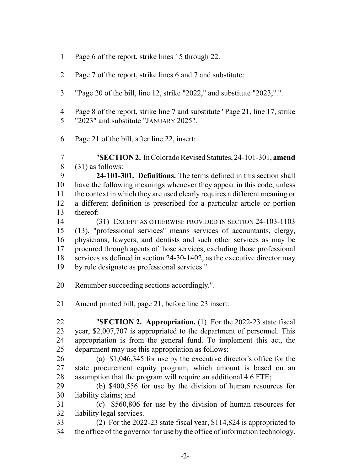- Page 6 of the report, strike lines 15 through 22.
- Page 7 of the report, strike lines 6 and 7 and substitute:
- "Page 20 of the bill, line 12, strike "2022," and substitute "2023,".".
- Page 8 of the report, strike line 7 and substitute "Page 21, line 17, strike "2023" and substitute "JANUARY 2025".
- Page 21 of the bill, after line 22, insert:
- "**SECTION 2.** In Colorado Revised Statutes, 24-101-301, **amend** (31) as follows:

 **24-101-301. Definitions.** The terms defined in this section shall have the following meanings whenever they appear in this code, unless the context in which they are used clearly requires a different meaning or a different definition is prescribed for a particular article or portion thereof:

- (31) EXCEPT AS OTHERWISE PROVIDED IN SECTION 24-103-1103 (13), "professional services" means services of accountants, clergy, physicians, lawyers, and dentists and such other services as may be procured through agents of those services, excluding those professional services as defined in section 24-30-1402, as the executive director may by rule designate as professional services.".
- Renumber succeeding sections accordingly.".
- Amend printed bill, page 21, before line 23 insert:
- "**SECTION 2. Appropriation.** (1) For the 2022-23 state fiscal year, \$2,007,707 is appropriated to the department of personnel. This appropriation is from the general fund. To implement this act, the department may use this appropriation as follows:
- (a) \$1,046,345 for use by the executive director's office for the state procurement equity program, which amount is based on an assumption that the program will require an additional 4.6 FTE;
- (b) \$400,556 for use by the division of human resources for liability claims; and

 (c) \$560,806 for use by the division of human resources for liability legal services.

 (2) For the 2022-23 state fiscal year, \$114,824 is appropriated to the office of the governor for use by the office of information technology.